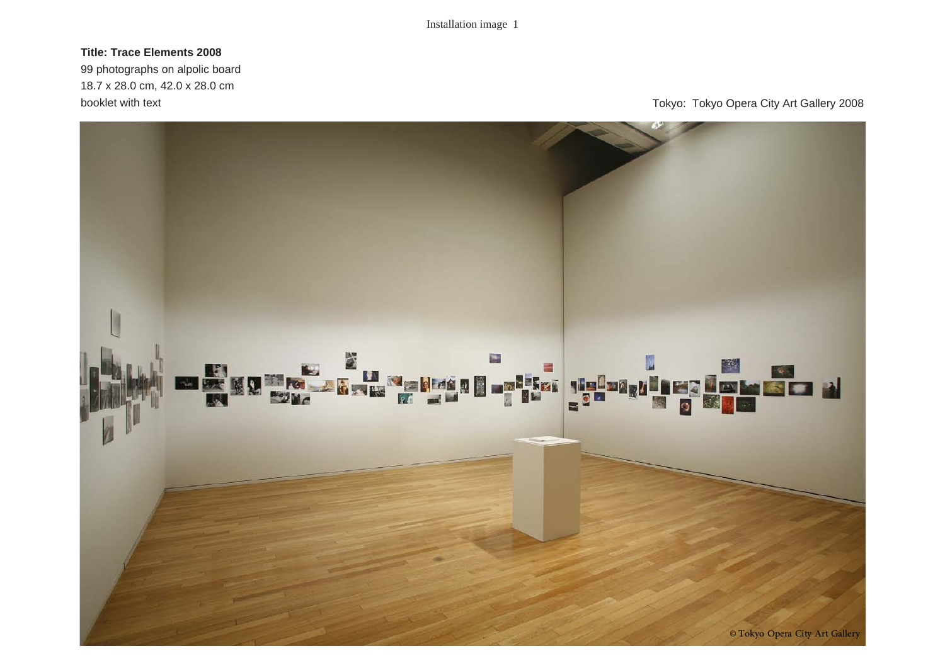# **Title: Trace Elements 2008**

99 photographs on alpolic board 18.7 x 28.0 cm, 42.0 x 28.0 cm

booklet with text **Tokyo:** Tokyo: Tokyo Opera City Art Gallery 2008

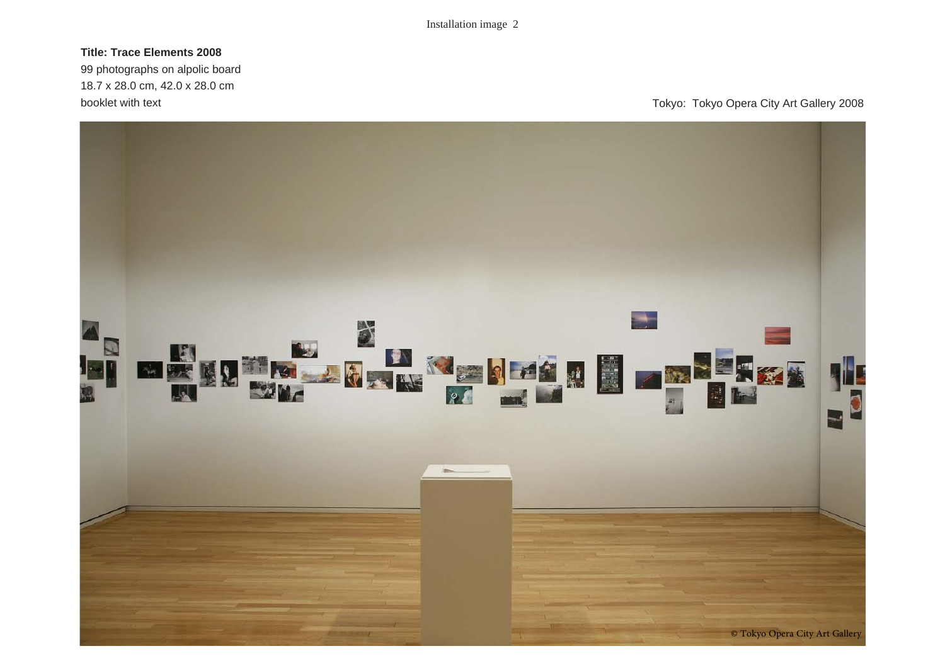## **Title: Trace Elements 2008**

99 photographs on alpolic board 18.7 x 28.0 cm, 42.0 x 28.0 cm

booklet with text **Tokyo:** Tokyo: Tokyo Opera City Art Gallery 2008

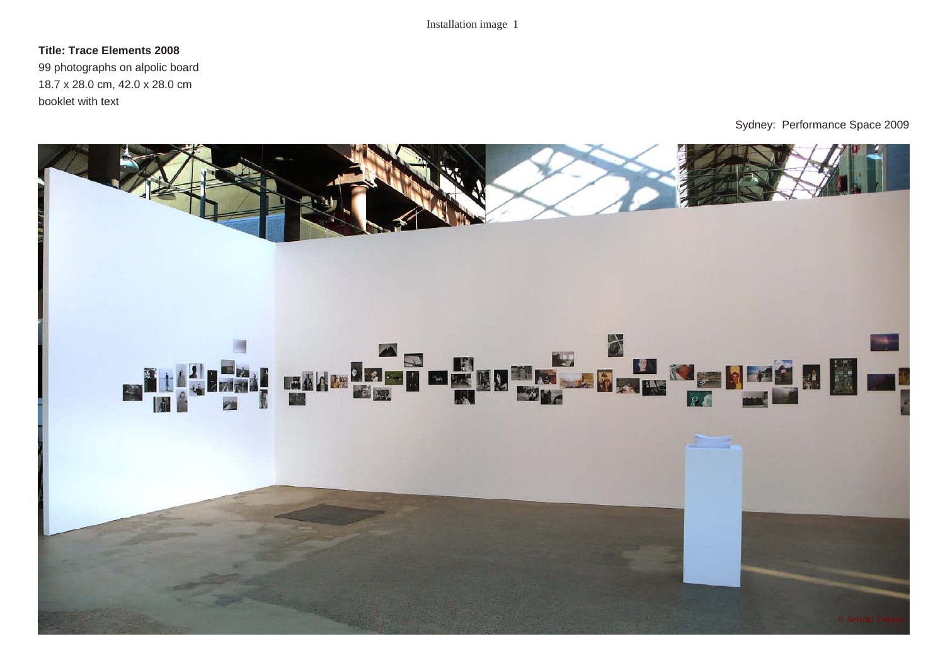## **Title: Trace Elements 2008**

99 photographs on alpolic board 18.7 x 28.0 cm, 42.0 x 28.0 cm booklet with text

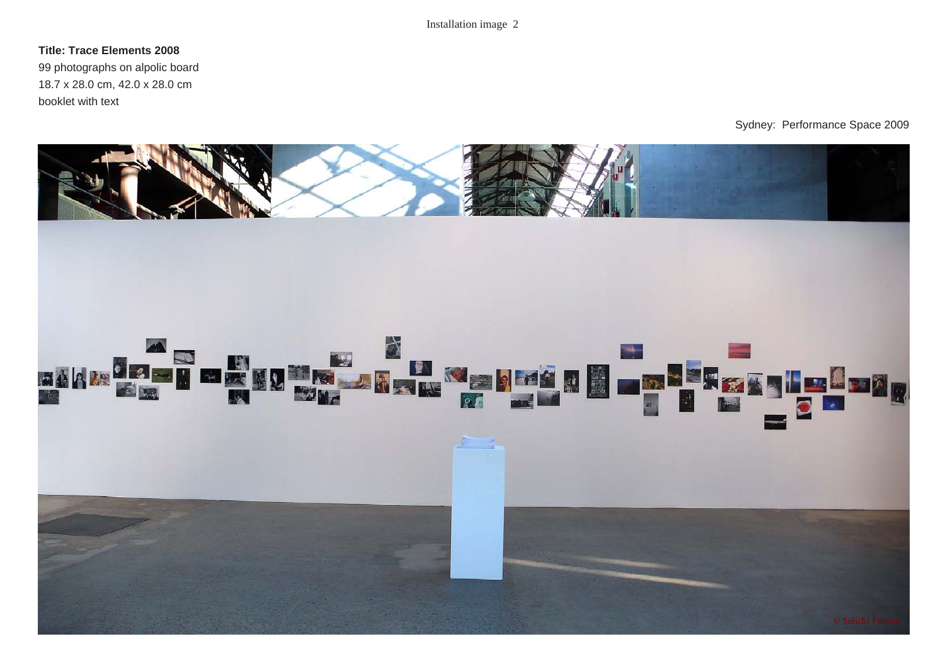### **Title: Trace Elements 2008**

99 photographs on alpolic board 18.7 x 28.0 cm, 42.0 x 28.0 cm booklet with text

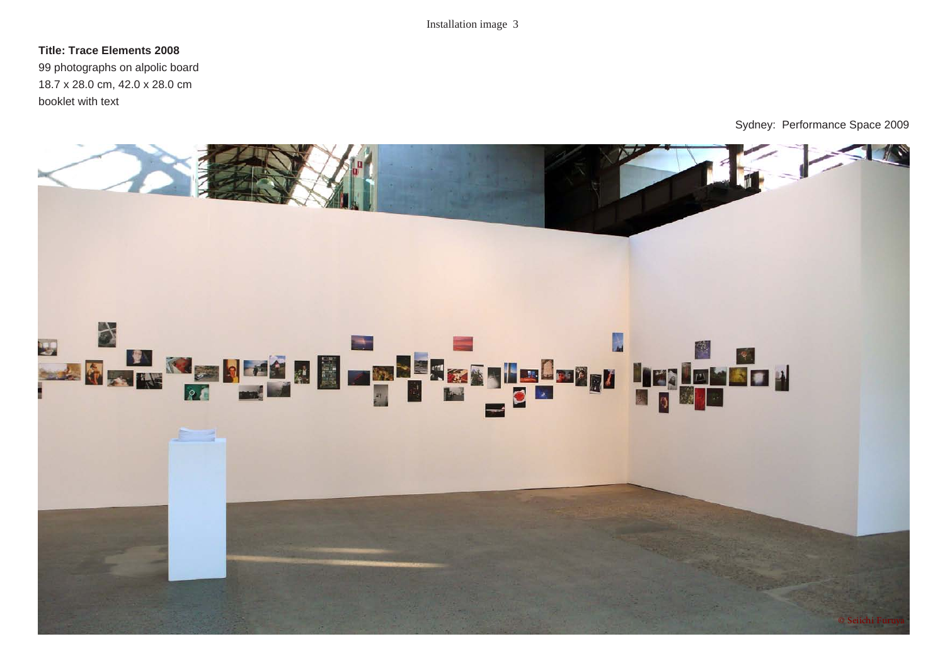#### **Title: Trace Elements 2008**

99 photographs on alpolic board 18.7 x 28.0 cm, 42.0 x 28.0 cm booklet with text

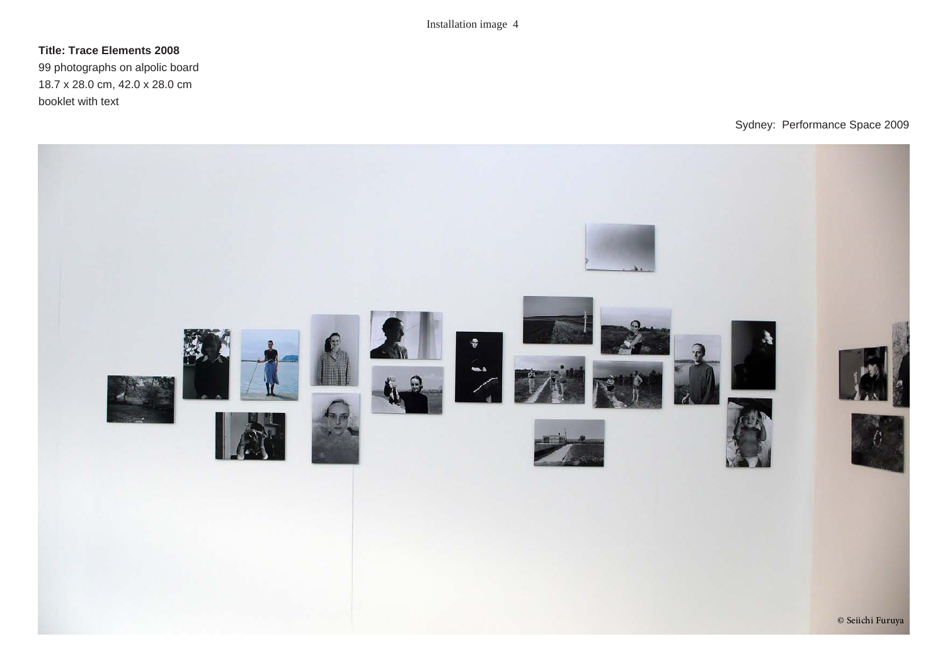## **Title: Trace Elements 2008**

99 photographs on alpolic board 18.7 x 28.0 cm, 42.0 x 28.0 cm booklet with text

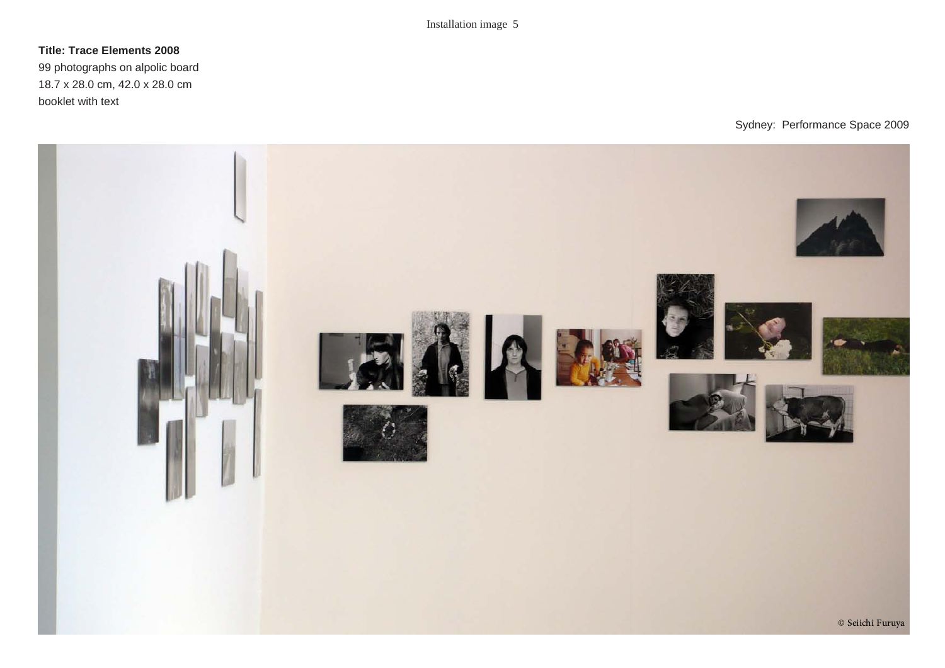## **Title: Trace Elements 2008**

99 photographs on alpolic board 18.7 x 28.0 cm, 42.0 x 28.0 cm booklet with text

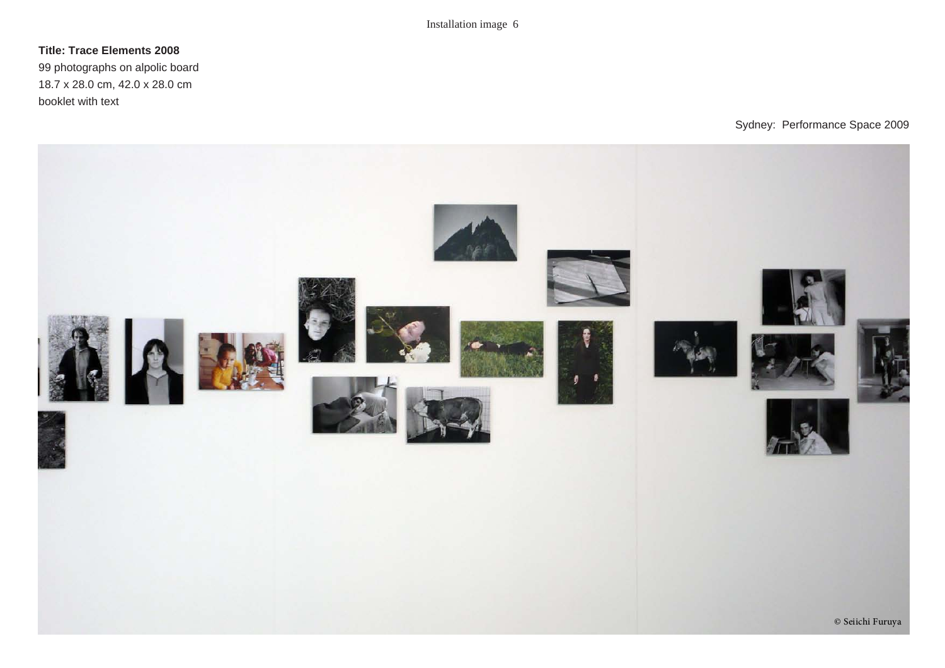## **Title: Trace Elements 2008**

99 photographs on alpolic board 18.7 x 28.0 cm, 42.0 x 28.0 cm booklet with text

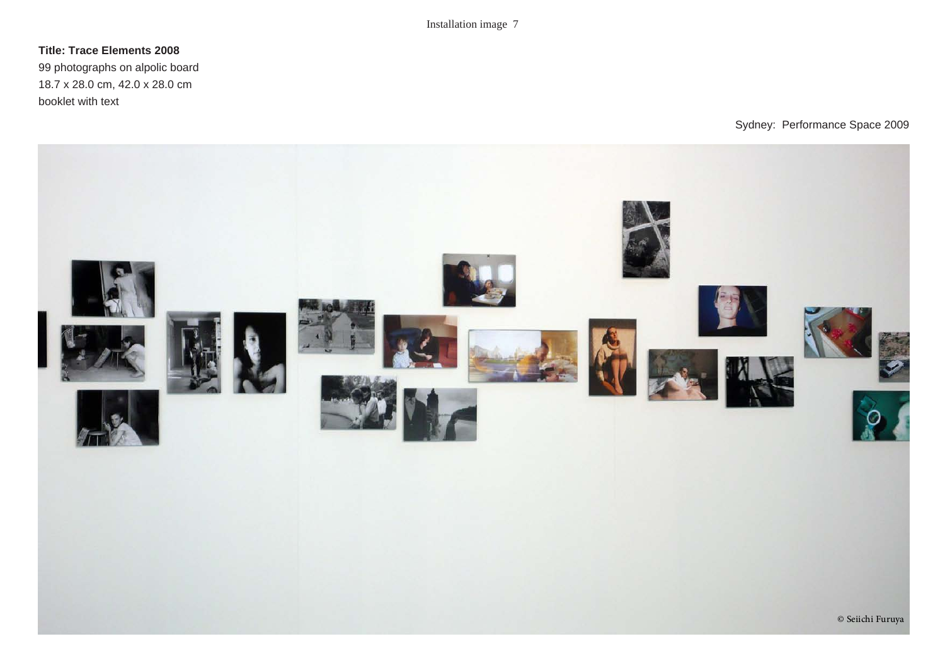## **Title: Trace Elements 2008**

99 photographs on alpolic board 18.7 x 28.0 cm, 42.0 x 28.0 cm booklet with text

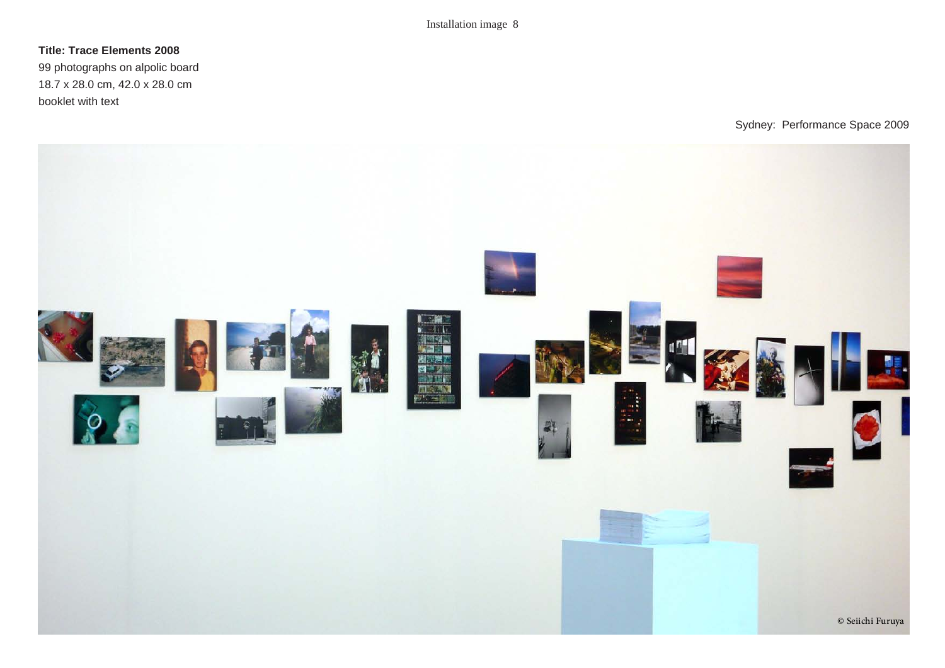### **Title: Trace Elements 2008**

99 photographs on alpolic board 18.7 x 28.0 cm, 42.0 x 28.0 cm booklet with text

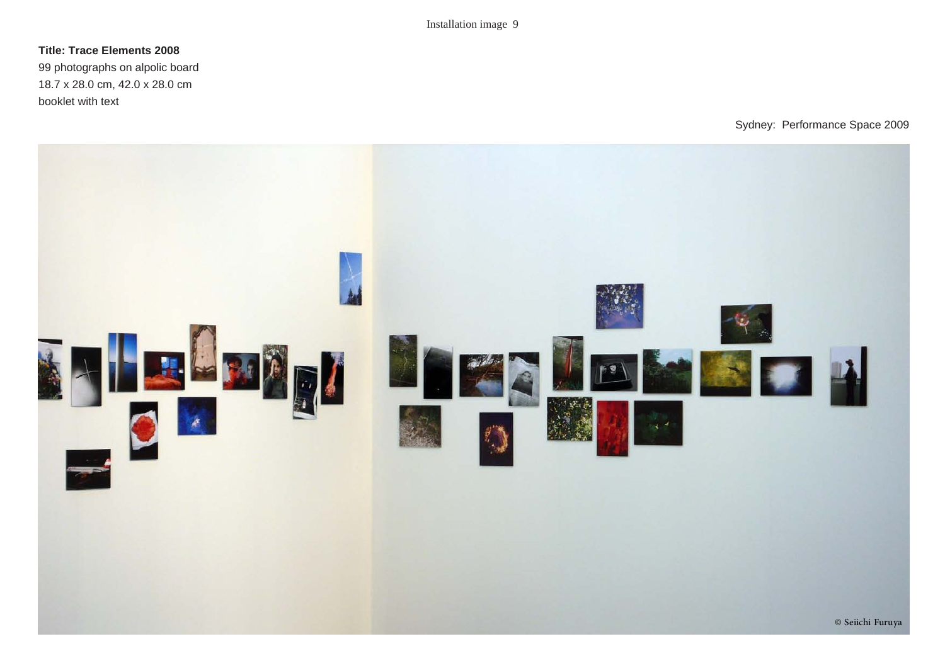### **Title: Trace Elements 2008**

99 photographs on alpolic board 18.7 x 28.0 cm, 42.0 x 28.0 cm booklet with text

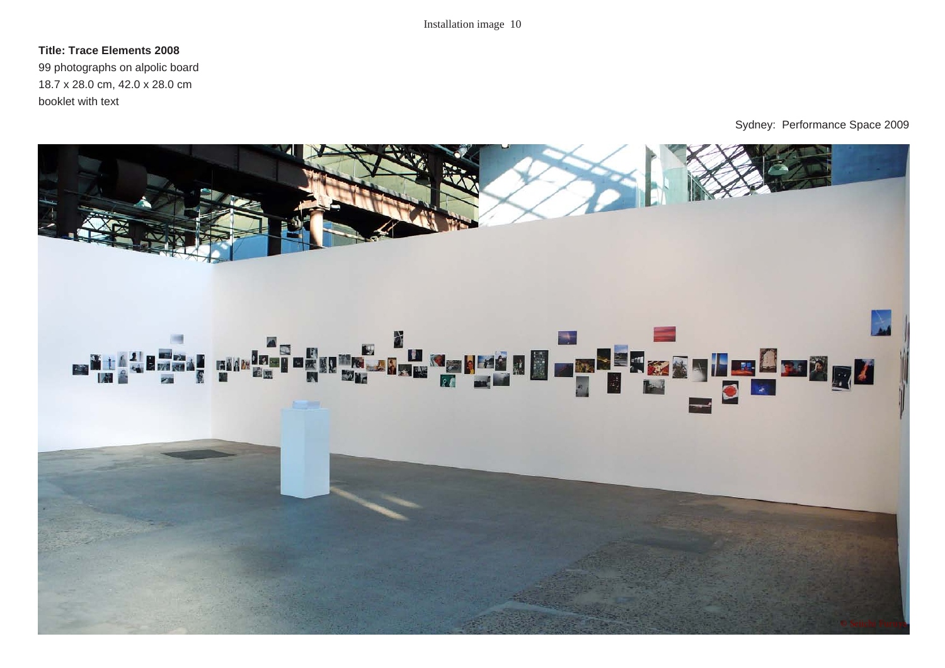### **Title: Trace Elements 2008**

99 photographs on alpolic board 18.7 x 28.0 cm, 42.0 x 28.0 cm booklet with text

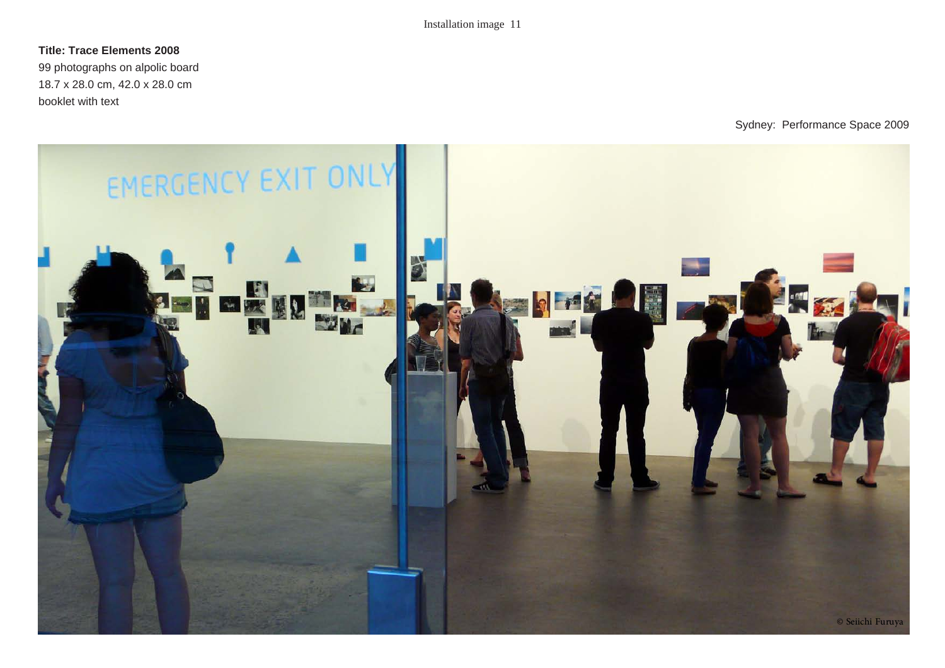#### **Title: Trace Elements 2008**

99 photographs on alpolic board 18.7 x 28.0 cm, 42.0 x 28.0 cm booklet with text

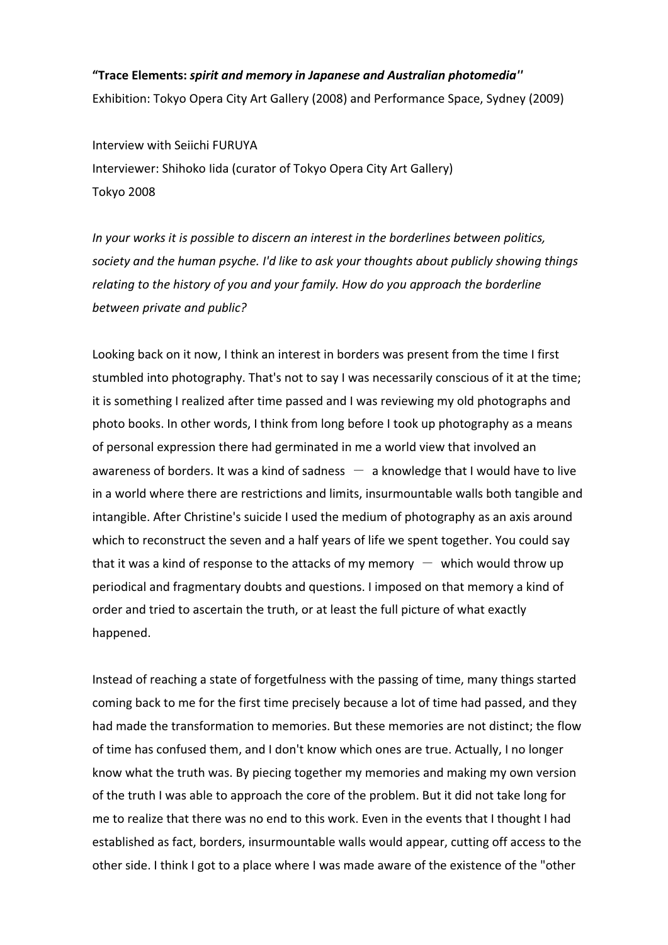# "Trace Elements: spirit and memory in Japanese and Australian photomedia'' Exhibition: Tokyo Opera City Art Gallery (2008) and Performance Space, Sydney (2009)

Interview with Seiichi FURUYA Interviewer: Shihoko Iida (curator of Tokyo Opera City Art Gallery) Tokyo 2008

In your works it is possible to discern an interest in the borderlines between politics, society and the human psyche. I'd like to ask your thoughts about publicly showing things relating to the history of you and your family. How do you approach the borderline between private and public?

Looking back on it now, I think an interest in borders was present from the time I first stumbled into photography. That's not to say I was necessarily conscious of it at the time; it is something I realized after time passed and I was reviewing my old photographs and photo books. In other words, I think from long before I took up photography as a means of personal expression there had germinated in me a world view that involved an Looking back on it now, I think an interest in borders was present from the time I first<br>stumbled into photography. That's not to say I was necessarily conscious of it at the time<br>it is something I realized after time pass in a world where there are restrictions and limits, insurmountable walls both tangible and intangible. After Christine's suicide I used the medium of photography as an axis around which to reconstruct the seven and a half years of life we spent together. You could say of personal expression there had germinated in me a world view that involved an<br>awareness of borders. It was a kind of sadness  $-$  a knowledge that I would have to liv<br>in a world where there are restrictions and limits, i periodical and fragmentary doubts and questions. I imposed on that memory a kind of order and tried to ascertain the truth, or at least the full picture of what exactly happened.

Instead of reaching a state of forgetfulness with the passing of time, many things started coming back to me for the first time precisely because a lot of time had passed, and they had made the transformation to memories. But these memories are not distinct; the flow of time has confused them, and I don't know which ones are true. Actually, I no longer know what the truth was. By piecing together my memories and making my own version of the truth I was able to approach the core of the problem. But it did not take long for me to realize that there was no end to this work. Even in the events that I thought I had established as fact, borders, insurmountable walls would appear, cutting off access to the other side. I think I got to a place where I was made aware of the existence of the "other